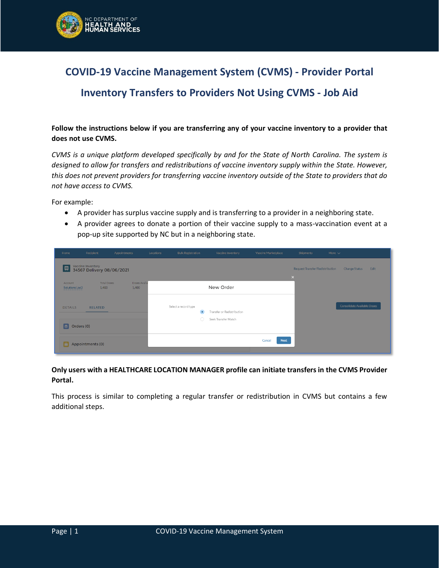

# **COVID-19 Vaccine Management System (CVMS) - Provider Portal**

## **Inventory Transfers to Providers Not Using CVMS - Job Aid**

**Follow the instructions below if you are transferring any of your vaccine inventory to a provider that does not use CVMS.**

*CVMS is a unique platform developed specifically by and for the State of North Carolina. The system is designed to allow for transfers and redistributions of vaccine inventory supply within the State. However, this does not prevent providers for transferring vaccine inventory outside of the State to providers that do not have access to CVMS.*

For example:

- A provider has surplus vaccine supply and is transferring to a provider in a neighboring state.
- A provider agrees to donate a portion of their vaccine supply to a mass-vaccination event at a pop-up site supported by NC but in a neighboring state.

| Home                      | Recipient                                      | Appointments         | Locations | <b>Bulk Registration</b>          | Vaccine Inventory          | Vaccine Marketplace   | <b>Shipments</b>                                             | More $\sim$                  |
|---------------------------|------------------------------------------------|----------------------|-----------|-----------------------------------|----------------------------|-----------------------|--------------------------------------------------------------|------------------------------|
| 属                         | Vaccine Inventory<br>34567 Delivery 08/06/2021 |                      |           |                                   |                            |                       | Request Transfer/Redistribution<br>$\boldsymbol{\mathsf{x}}$ | <b>Change Status</b><br>Edit |
| Account<br>Solutions Loc3 | <b>Total Doses</b><br>1,400                    | Doses Avail<br>1,400 |           |                                   | New Order                  |                       |                                                              |                              |
| <b>DETAILS</b>            | <b>RELATED</b>                                 |                      |           | Select a record type<br>$\bullet$ | Transfer or Redistribution |                       |                                                              | Consolidate Available Doses  |
| Orders (0)<br>$\approx$   |                                                |                      |           | ∩                                 | Seek Transfer Match        |                       |                                                              |                              |
| I٨                        | Appointments (0)                               |                      |           |                                   |                            | <b>Next</b><br>Cancel |                                                              |                              |

**Only users with a HEALTHCARE LOCATION MANAGER profile can initiate transfers in the CVMS Provider Portal.**

This process is similar to completing a regular transfer or redistribution in CVMS but contains a few additional steps.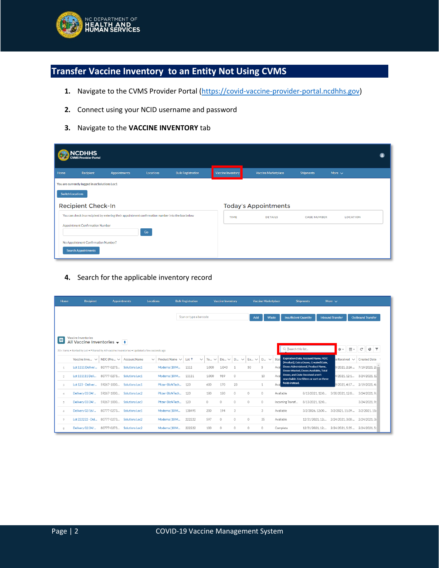

## **Transfer Vaccine Inventory to an Entity Not Using CVMS**

- 1. Navigate to the CVMS Provider Portal [\(https://covid-vaccine-provider-portal.ncdhhs.gov\)](https://covid-vaccine-provider-portal.ncdhhs.gov/)
- **2.** Connect using your NCID username and password
- **3.** Navigate to the **VACCINE INVENTORY** tab

|      | <b>NCDHHS</b><br>:VMS Provider Portal                             |                                                                                                   |           |                          |                   |                             |                    |                 |  |
|------|-------------------------------------------------------------------|---------------------------------------------------------------------------------------------------|-----------|--------------------------|-------------------|-----------------------------|--------------------|-----------------|--|
| Home | <b>Recipient</b>                                                  | Appointments                                                                                      | Locations | <b>Bulk Registration</b> | Vaccine Inventory | <b>Vaccine Marketplace</b>  | <b>Shipments</b>   | More $\sim$     |  |
|      | You are currently logged in as Solutions Loc1                     |                                                                                                   |           |                          |                   |                             |                    |                 |  |
|      | <b>Switch Locations</b>                                           |                                                                                                   |           |                          |                   |                             |                    |                 |  |
|      | <b>Recipient Check-In</b>                                         |                                                                                                   |           |                          |                   | <b>Today's Appointments</b> |                    |                 |  |
|      |                                                                   | You can check in a recipient by entering their appointment confirmation number into the box below |           |                          | <b>TIME</b>       | <b>DETAILS</b>              | <b>CASE NUMBER</b> | <b>LOCATION</b> |  |
|      | Appointment Confirmation Number                                   |                                                                                                   |           |                          |                   |                             |                    |                 |  |
|      |                                                                   |                                                                                                   | Go        |                          |                   |                             |                    |                 |  |
|      | No Appointment Confirmation Number?<br><b>Search Appointments</b> |                                                                                                   |           |                          |                   |                             |                    |                 |  |
|      |                                                                   |                                                                                                   |           |                          |                   |                             |                    |                 |  |

**4.** Search for the applicable inventory record

| Home           | <b>Recipient</b>                                                                                                                                                       |                 | <b>Appointments</b>   | Locations    |                 | <b>Bulk Registration</b> |              |                    | <b>Vaccine Inventory</b> |                          |           | <b>Vaccine Marketplace</b> |           |                              | <b>Shipments</b>                                                                   | More $\sim$             |    |                             |                          |                     |  |
|----------------|------------------------------------------------------------------------------------------------------------------------------------------------------------------------|-----------------|-----------------------|--------------|-----------------|--------------------------|--------------|--------------------|--------------------------|--------------------------|-----------|----------------------------|-----------|------------------------------|------------------------------------------------------------------------------------|-------------------------|----|-----------------------------|--------------------------|---------------------|--|
|                |                                                                                                                                                                        |                 |                       |              |                 | Scan or type a barcode   |              |                    |                          |                          | Add       | Waste                      |           | <b>Insufficient Quantity</b> |                                                                                    | <b>Inbound Transfer</b> |    |                             | <b>Outbound Transfer</b> |                     |  |
| 四              | Vaccine Inventories<br>All Vaccine Inventories $\blacktriangledown$   F<br>50+ items . Sorted by Lot . Filtered by All vaccine inventories . Updated a few seconds ago |                 |                       |              |                 |                          |              |                    |                          |                          |           |                            |           | Q Search this list           |                                                                                    |                         | ☆☆ | ⊞ ∗                         | C                        |                     |  |
|                | Vaccine Inve $\vee$                                                                                                                                                    | NDC (Pro $\vee$ | <b>Account Name</b>   | $\checkmark$ | Product Name V  | $Let \uparrow$           | $\checkmark$ | To<br>$\checkmark$ | Do $\vee$                | <b>D</b><br>$\checkmark$ | $Ex \vee$ | $D_{\cdots} \vee$          | Stat      |                              | <b>Expiration Date, Account Name, NDC</b><br>(Product), Extra Doses, Created Date, |                         |    | $e$ Received $\vee$         |                          | <b>Created Date</b> |  |
| $\mathbf{1}$   | Lot 1111 Deliver                                                                                                                                                       | 80777-0273      | Solutions Loc1        |              | Moderna (10 M   | 1111                     |              | 1.000              | 1.043                    |                          | 50        | 5                          | Ava       |                              | Doses Administered, Product Name,<br>Doses Wasted, Doses Available, Total          |                         |    | 9/2021.2:26                 | 7/19/2021.2:             |                     |  |
| $\overline{2}$ | Lot 111111 Deli                                                                                                                                                        | 80777-0273      | Solutions Loc1        |              | Moderna (10 M   | 11111                    |              | 1.000              | 989                      | $\circ$                  |           | 10                         | Ava       |                              | Doses, and Date Received aren't<br>searchable. Use filters or sort on these        |                         |    | 4/2021.12:1                 |                          | 3/24/2021.12        |  |
| 3              | Lot 123 - Deliver                                                                                                                                                      | 59267-1000      | Solutions Loc1        |              | Pfizer-BioNTech | 123                      |              | 600                | 170                      | 23                       |           | 1                          | Ava       | fields instead.              |                                                                                    |                         |    | 9/2021.4:57                 |                          | 2/19/2021.4:        |  |
| $\Delta$       | Delivery 03/24/                                                                                                                                                        | 59267-1000      | Solutions Loc2        |              | Pfizer-BioNTech | 123                      |              | 180                | 180                      | $\circ$                  | $\Omega$  | $\circ$                    | Available |                              | 8/13/2021.12:0                                                                     |                         |    | 3/30/2021.12:0              |                          | 3/24/2021.9:        |  |
| -5             | Delivery 03/24/                                                                                                                                                        | 59267-1000      | <b>Solutions Loc3</b> |              | Pfizer-BioNTech | 123                      |              | $\Omega$           | 0                        | 0                        | $\circ$   | $\circ$                    |           | Incoming Transf              | 8/13/2021.12:0                                                                     |                         |    |                             |                          | 3/24/2021.9:        |  |
| 6              | Delivery 02/16/                                                                                                                                                        | 80777-0273      | Solutions Loc1        |              | Moderna (10 M   | 138495                   |              | 200                | 194                      | 3                        |           | 3                          | Available |                              | 3/2/2026.12:00                                                                     |                         |    | 3/2/2021.11:39              |                          | 3/2/2021.11:        |  |
| $\overline{7}$ | Lot 222222 - Del                                                                                                                                                       | 80777-0273      | Solutions Loc2        |              | Moderna (10 M   | 222222                   |              | 597                | $\Omega$                 | $\Omega$                 | $\Omega$  | 35                         | Available |                              | 12/31/2021.12:                                                                     |                         |    | 2/24/2021.3:00              |                          | 2/24/2021.3:        |  |
| 8              | Delivery 02/24/                                                                                                                                                        | 80777-0273      | Solutions Loc2        |              | Moderna (10 M   | 222222                   |              | 100                | 0                        | $\circ$                  | $\circ$   | 0                          | Complete  |                              | 12/31/2021.12:                                                                     |                         |    | 2/24/2021.5:35 2/24/2021.5: |                          |                     |  |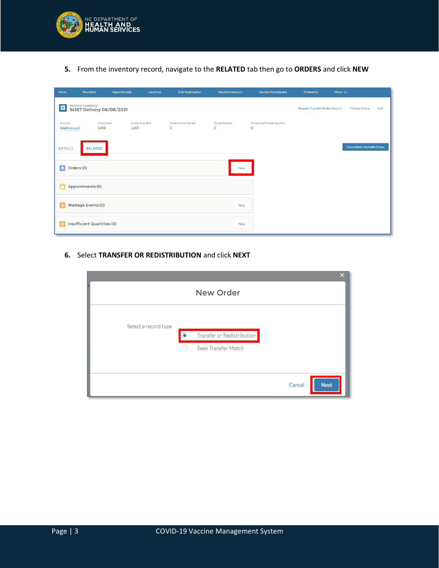

**5.** From the inventory record, navigate to the **RELATED** tab then go to **ORDERS** and click **NEW**

| Home                      | Recipient                                      | <b>Appointments</b> | Locations       | <b>Bulk Registration</b>      | <b>Vaccine Inventory</b> | Vaccine Marketplace                         | <b>Shipments</b>                | More $\sim$          |                             |
|---------------------------|------------------------------------------------|---------------------|-----------------|-------------------------------|--------------------------|---------------------------------------------|---------------------------------|----------------------|-----------------------------|
| 靊                         | Vaccine Inventory<br>34567 Delivery 08/06/2021 |                     |                 |                               |                          |                                             | Request Transfer/Redistribution | <b>Change Status</b> | Edit                        |
| Account<br>Solutions Loc3 | <b>Total Doses</b><br>1,400                    | 1,400               | Doses Available | Doses Administered<br>$\circ$ | Doses Wasted<br>$\circ$  | Doses Insufficient Quantity<br>$\mathbf{0}$ |                                 |                      |                             |
| <b>DETAILS</b>            | <b>RELATED</b>                                 |                     |                 |                               |                          |                                             |                                 |                      | Consolidate Available Doses |
| Orders (0)<br>$ \bullet $ |                                                |                     |                 |                               | <b>New</b>               |                                             |                                 |                      |                             |
|                           | Appointments (0)                               |                     |                 |                               |                          |                                             |                                 |                      |                             |
|                           | Wastage Events (0)                             |                     |                 |                               | <b>New</b>               |                                             |                                 |                      |                             |
| m                         | <b>Insufficient Quantities (0)</b>             |                     |                 |                               | <b>New</b>               |                                             |                                 |                      |                             |

**6.** Select **TRANSFER OR REDISTRIBUTION** and click **NEXT**

| $\overline{\mathsf{x}}$    |
|----------------------------|
| New Order                  |
|                            |
| Select a record type       |
| Transfer or Redistribution |
| Seek Transfer Match        |
|                            |
|                            |
| <b>Next</b><br>Cancel      |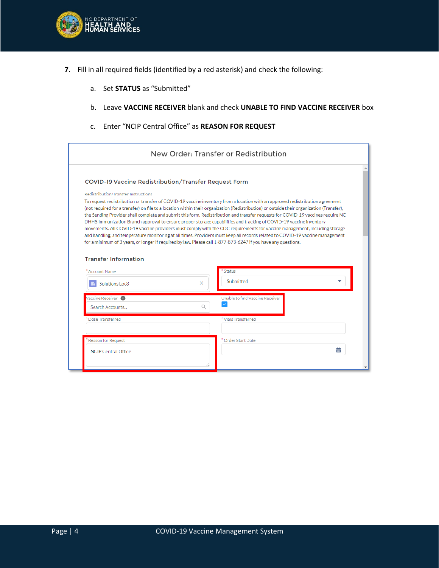

- **7.** Fill in all required fields (identified by a red asterisk) and check the following:
	- a. Set **STATUS** as "Submitted"
	- b. Leave **VACCINE RECEIVER** blank and check **UNABLE TO FIND VACCINE RECEIVER** box
	- c. Enter "NCIP Central Office" as **REASON FOR REQUEST**

| New Order: Transfer or Redistribution                                                                                                                                                                                                                                                                                                                                                                                                                                                                                                                                                                                                                                                                                                                                                                                                                                                                                                                                                    |                                 |  |  |  |  |  |  |  |  |  |  |
|------------------------------------------------------------------------------------------------------------------------------------------------------------------------------------------------------------------------------------------------------------------------------------------------------------------------------------------------------------------------------------------------------------------------------------------------------------------------------------------------------------------------------------------------------------------------------------------------------------------------------------------------------------------------------------------------------------------------------------------------------------------------------------------------------------------------------------------------------------------------------------------------------------------------------------------------------------------------------------------|---------------------------------|--|--|--|--|--|--|--|--|--|--|
| <b>COVID-19 Vaccine Redistribution/Transfer Request Form</b>                                                                                                                                                                                                                                                                                                                                                                                                                                                                                                                                                                                                                                                                                                                                                                                                                                                                                                                             |                                 |  |  |  |  |  |  |  |  |  |  |
| Redistribution/Transfer Instructions<br>To request redistribution or transfer of COVID-19 vaccine inventory from a location with an approved redistribution agreement<br>(not required for a transfer) on file to a location within their organization (Redistribution) or outside their organization (Transfer),<br>the Sending Provider shall complete and submit this form. Redistribution and transfer requests for COVID-19 vaccines require NC<br>DHHS Immunization Branch approval to ensure proper storage capabilities and tracking of COVID-19 vaccine inventory<br>movements. All COVID-19 vaccine providers must comply with the CDC requirements for vaccine management, including storage<br>and handling, and temperature monitoring at all times. Providers must keep all records related to COVID-19 vaccine management<br>for a minimum of 3 years, or longer if required by law. Please call 1-877-873-6247 if you have any questions.<br><b>Transfer Information</b> |                                 |  |  |  |  |  |  |  |  |  |  |
| * Account Name                                                                                                                                                                                                                                                                                                                                                                                                                                                                                                                                                                                                                                                                                                                                                                                                                                                                                                                                                                           | * Status                        |  |  |  |  |  |  |  |  |  |  |
| ×<br>Solutions Loc3                                                                                                                                                                                                                                                                                                                                                                                                                                                                                                                                                                                                                                                                                                                                                                                                                                                                                                                                                                      | Submitted                       |  |  |  |  |  |  |  |  |  |  |
| Vaccine Receiver <sup>6</sup><br>Search Accounts                                                                                                                                                                                                                                                                                                                                                                                                                                                                                                                                                                                                                                                                                                                                                                                                                                                                                                                                         | Unable to find Vaccine Receiver |  |  |  |  |  |  |  |  |  |  |
| * Dose Transferred                                                                                                                                                                                                                                                                                                                                                                                                                                                                                                                                                                                                                                                                                                                                                                                                                                                                                                                                                                       | * Vials Transferred             |  |  |  |  |  |  |  |  |  |  |
| Reason for Request                                                                                                                                                                                                                                                                                                                                                                                                                                                                                                                                                                                                                                                                                                                                                                                                                                                                                                                                                                       | * Order Start Date              |  |  |  |  |  |  |  |  |  |  |
| <b>NCIP Central Office</b>                                                                                                                                                                                                                                                                                                                                                                                                                                                                                                                                                                                                                                                                                                                                                                                                                                                                                                                                                               | 亩                               |  |  |  |  |  |  |  |  |  |  |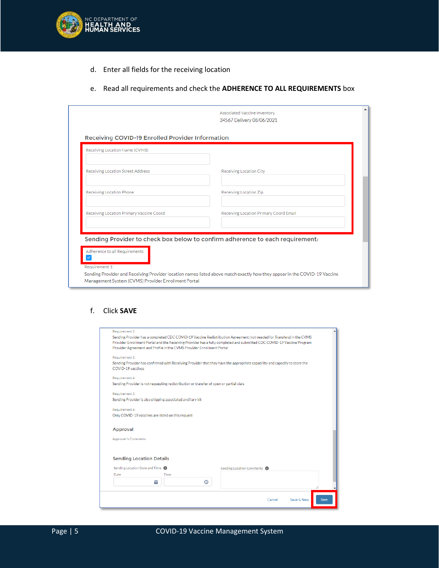

- d. Enter all fields for the receiving location
- e. Read all requirements and check the **ADHERENCE TO ALL REQUIREMENTS** box

|                                                                                    | Associated Vaccine Inventory<br>34567 Delivery 08/06/2021                                                                 |
|------------------------------------------------------------------------------------|---------------------------------------------------------------------------------------------------------------------------|
| Receiving COVID-19 Enrolled Provider Information<br>Receiving Location Name (CVMS) |                                                                                                                           |
| Receiving Location Street Address                                                  | Receiving Location City                                                                                                   |
| Receiving Location Phone                                                           | Receiving Location Zip                                                                                                    |
| Receiving Location Primary Vaccine Coord                                           | Receiving Location Primary Coord Email                                                                                    |
|                                                                                    | Sending Provider to check box below to confirm adherence to each requirement.                                             |
| Adherence to all Requirements<br>Requirement 1:                                    |                                                                                                                           |
| Management System (CVMS) Provider Enrollment Portal                                | Sending Provider and Receiving Provider location names listed above match exactly how they appear in the COVID-19 Vaccine |

#### f. Click **SAVE**

| Requirement 2:                                                                                                             |                                        |      |
|----------------------------------------------------------------------------------------------------------------------------|----------------------------------------|------|
| Sending Provider has a completed CDC COVID-19 Vaccine Redistribution Agreement (not needed for Transfers) in the CVMS      |                                        |      |
| Provider Enrollment Portal and the Receiving Provider has a fully completed and submitted CDC COVID-19 Vaccine Program     |                                        |      |
| Provider Agreement and Profile in the CVMS Provider Enrollment Portal                                                      |                                        |      |
| Requirement 3:                                                                                                             |                                        |      |
| Sending Provider has confirmed with Receiving Provider that they have the appropriate capability and capacity to store the |                                        |      |
| COVID-19 vaccines                                                                                                          |                                        |      |
| Requirement 4:                                                                                                             |                                        |      |
| Sending Provider is not requesting redistribution or transfer of open or partial vials                                     |                                        |      |
| Requirement 5:                                                                                                             |                                        |      |
| Sending Provider is also shipping associated ancillary kit                                                                 |                                        |      |
| Requirement 6:                                                                                                             |                                        |      |
| Only COVID-19 vaccines are listed on this request                                                                          |                                        |      |
|                                                                                                                            |                                        |      |
| Approval                                                                                                                   |                                        |      |
| <b>Approver's Comments</b>                                                                                                 |                                        |      |
|                                                                                                                            |                                        |      |
|                                                                                                                            |                                        |      |
| <b>Sending Location Details</b>                                                                                            |                                        |      |
| Sending Location Date and Time                                                                                             | Sending Location Comments <sup>6</sup> |      |
| <b>Time</b><br>Date                                                                                                        |                                        |      |
| 蘦<br>$\odot$                                                                                                               |                                        |      |
|                                                                                                                            |                                        |      |
|                                                                                                                            |                                        |      |
|                                                                                                                            | Save & New<br>Cancel                   | Save |
|                                                                                                                            |                                        |      |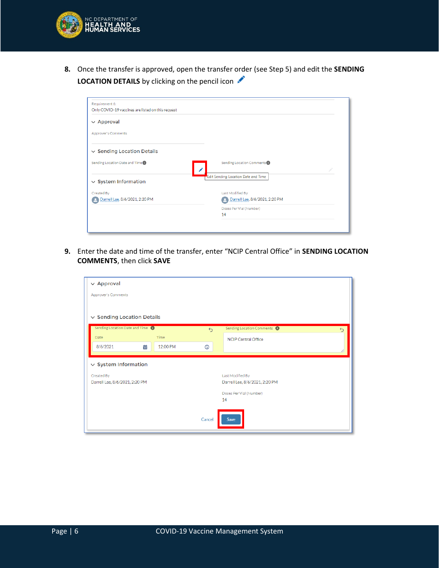

**8.** Once the transfer is approved, open the transfer order (see Step 5) and edit the **SENDING LOCATION DETAILS** by clicking on the pencil icon

| Requirement 6:<br>Only COVID-19 vaccines are listed on this request |                                        |
|---------------------------------------------------------------------|----------------------------------------|
| $\vee$ Approval                                                     |                                        |
| <b>Approver's Comments</b>                                          |                                        |
| $\vee$ Sending Location Details                                     |                                        |
| Sending Location Date and Time O                                    | Sending Location Comments <sup>O</sup> |
| $\vee$ System Information                                           | Edit Sending Location Date and Time    |
| Created By                                                          | Last Modified By                       |
| Darrell Lee, 8/6/2021, 2:20 PM                                      | Darrell Lee, 8/6/2021, 2:20 PM         |
|                                                                     | Doses Per Vial (Number)                |
|                                                                     | 14                                     |
|                                                                     |                                        |
|                                                                     |                                        |

**9.** Enter the date and time of the transfer, enter "NCIP Central Office" in **SENDING LOCATION COMMENTS**, then click **SAVE**

| $\vee$ Approval                 |          |                   |                                                  |
|---------------------------------|----------|-------------------|--------------------------------------------------|
| <b>Approver's Comments</b>      |          |                   |                                                  |
|                                 |          |                   |                                                  |
| $\vee$ Sending Location Details |          |                   |                                                  |
| Sending Location Date and Time  |          | $\leftrightarrow$ | Sending Location Comments O<br>$\leftrightarrow$ |
| <b>Date</b>                     | Time     |                   | <b>NCIP Central Office</b>                       |
| 齒<br>8/6/2021                   | 12:00 PM | $\odot$           |                                                  |
| $\vee$ System Information       |          |                   |                                                  |
| Created By                      |          |                   | Last Modified By                                 |
| Darrell Lee, 8/6/2021, 2:20 PM  |          |                   | Darrell Lee, 8/6/2021, 2:20 PM                   |
|                                 |          |                   | Doses Per Vial (Number)<br>14                    |
|                                 |          |                   |                                                  |
|                                 |          | Cancel            | Save                                             |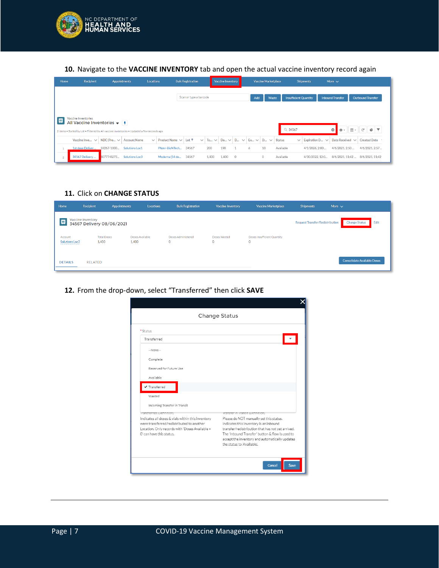

### **10.** Navigate to the **VACCINE INVENTORY** tab and open the actual vaccine inventory record again

| <b>Home</b>    | <b>Recipient</b>                                                                                                                                            | <b>Appointments</b> |                     | Locations    |                     | <b>Bulk Registration</b> |              |           | Vaccine Inventory |                     | <b>Vaccine Marketplace</b> |                    |                              | <b>Shipments</b> |                     | More $\sim$             |     |                          |
|----------------|-------------------------------------------------------------------------------------------------------------------------------------------------------------|---------------------|---------------------|--------------|---------------------|--------------------------|--------------|-----------|-------------------|---------------------|----------------------------|--------------------|------------------------------|------------------|---------------------|-------------------------|-----|--------------------------|
|                |                                                                                                                                                             |                     |                     |              |                     | Scan or type a barcode   |              |           |                   |                     | Add                        | Waste              | <b>Insufficient Quantity</b> |                  |                     | <b>Inbound Transfer</b> |     | <b>Outbound Transfer</b> |
| 回              | Vaccine Inventories<br>All Vaccine Inventories $\bullet$   #  <br>2 items . Sorted by Lot . Filtered by All vaccine inventories . Updated a few seconds ago |                     |                     |              |                     |                          |              |           |                   |                     |                            |                    | Q 34567                      |                  |                     | $\circ$<br>☆↓           | 田 - | G<br>¢                   |
|                | Vaccine Inve $\vee$                                                                                                                                         | NDC (Pro $\vee$     | <b>Account Name</b> | $\checkmark$ | Product Name $\vee$ | Lot $\uparrow$           | $\checkmark$ | To $\vee$ | $Do \vee$         | $D_{\cdots}$ $\vee$ |                            | Ex $\vee$ D $\vee$ | <b>Status</b>                | $\checkmark$     | Expiration D $\vee$ | Date Received $\vee$    |     | <b>Created Date</b>      |
|                | 1st dose Deliver                                                                                                                                            | 59267-1000          | Solutions Loc1      |              | Pfizer-BioNTech     | 34567                    | 200          |           | 190               |                     | 6                          | 10                 | Available                    |                  | 4/1/2026.2:00       | 4/6/2021.2:50           |     | 4/6/2021.2:57            |
| $\overline{2}$ | 34567 Delivery                                                                                                                                              | 80777-0273          | Solutions Loc3      |              | Moderna (14 do      | 34567                    |              | 1,400     | 1.400             | $\circ$             |                            | $\circ$            | Available                    |                  | 4/30/2022.12:0      | 8/6/2021.11:42          |     | 8/6/2021, 11:42          |

### **11.** Click on **CHANGE STATUS**

| Home                      | Recipient                                      | <b>Appointments</b>         | <b>Locations</b> | <b>Bulk Registration</b>      | <b>Vaccine Inventory</b> | Vaccine Marketplace                    | <b>Shipments</b>                | More $\vee$                        |
|---------------------------|------------------------------------------------|-----------------------------|------------------|-------------------------------|--------------------------|----------------------------------------|---------------------------------|------------------------------------|
| 四                         | Vaccine Inventory<br>34567 Delivery 08/06/2021 |                             |                  |                               |                          |                                        | Request Transfer/Redistribution | <b>Change Status</b><br>Edit       |
| Account<br>Solutions Loc3 | 1,400                                          | <b>Total Doses</b><br>1,400 | Doses Available  | Doses Administered<br>$\circ$ | Doses Wasted<br>$\circ$  | Doses Insufficient Quantity<br>$\circ$ |                                 |                                    |
| <b>DETAILS</b>            | <b>RELATED</b>                                 |                             |                  |                               |                          |                                        |                                 | <b>Consolidate Available Doses</b> |

### **12.** From the drop-down, select "Transferred" then click **SAVE**

| <b>Change Status</b>                                                                                                                                                                                    |                                                                                                                                                                                                                                                                                                              |
|---------------------------------------------------------------------------------------------------------------------------------------------------------------------------------------------------------|--------------------------------------------------------------------------------------------------------------------------------------------------------------------------------------------------------------------------------------------------------------------------------------------------------------|
| * Status                                                                                                                                                                                                |                                                                                                                                                                                                                                                                                                              |
| Transferred                                                                                                                                                                                             |                                                                                                                                                                                                                                                                                                              |
| --None--                                                                                                                                                                                                |                                                                                                                                                                                                                                                                                                              |
| Complete                                                                                                                                                                                                |                                                                                                                                                                                                                                                                                                              |
| Reserved for Future Use                                                                                                                                                                                 |                                                                                                                                                                                                                                                                                                              |
| Available                                                                                                                                                                                               |                                                                                                                                                                                                                                                                                                              |
| ✔ Transferred                                                                                                                                                                                           |                                                                                                                                                                                                                                                                                                              |
| Wasted                                                                                                                                                                                                  |                                                                                                                                                                                                                                                                                                              |
| Incoming Transfer in Transit                                                                                                                                                                            |                                                                                                                                                                                                                                                                                                              |
| iransterred (Dennition)<br>Indicates all doses & vials within this inventory<br>were transferred/redistributed to another<br>Location. Only records with 'Doses Available =<br>O' can have this status. | transter in transit (Dennition)<br>Please do NOT manually set this status.<br>Indicates this inventory is an inbound<br>transfer/redistribution that has not vet arrived.<br>The 'Inbound Transfer' button & flow is used to<br>accept the inventory and automatically updates<br>the status to 'Available'. |
|                                                                                                                                                                                                         | Cancel<br>Save                                                                                                                                                                                                                                                                                               |